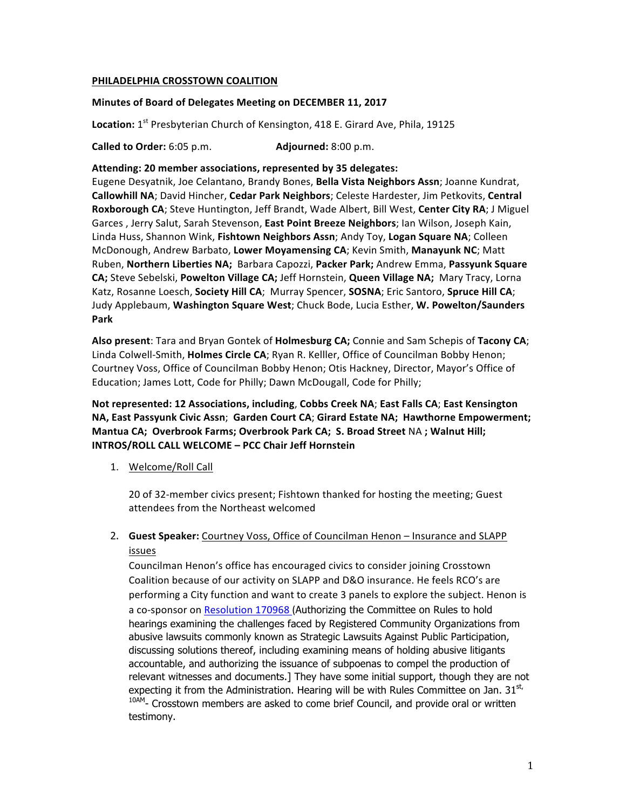#### **PHILADELPHIA CROSSTOWN COALITION**

## **Minutes of Board of Delegates Meeting on DECEMBER 11, 2017**

Location: 1<sup>st</sup> Presbyterian Church of Kensington, 418 E. Girard Ave, Phila, 19125

**Called to Order:** 6:05 p.m. **Adjourned:** 8:00 p.m.

Attending: 20 member associations, represented by 35 delegates:

Eugene Desyatnik, Joe Celantano, Brandy Bones, Bella Vista Neighbors Assn; Joanne Kundrat, **Callowhill NA**; David Hincher, *Cedar Park Neighbors*; Celeste Hardester, Jim Petkovits, Central **Roxborough CA**; Steve Huntington, Jeff Brandt, Wade Albert, Bill West, Center City RA; J Miguel Garces, Jerry Salut, Sarah Stevenson, East Point Breeze Neighbors; lan Wilson, Joseph Kain, Linda Huss, Shannon Wink, Fishtown Neighbors Assn; Andy Toy, Logan Square NA; Colleen McDonough, Andrew Barbato, Lower Moyamensing CA; Kevin Smith, Manayunk NC; Matt Ruben, **Northern Liberties NA;** Barbara Capozzi, **Packer Park;** Andrew Emma, **Passyunk Square CA**; Steve Sebelski, Powelton Village CA; Jeff Hornstein, Queen Village NA; Mary Tracy, Lorna Katz, Rosanne Loesch, Society Hill CA; Murray Spencer, SOSNA; Eric Santoro, Spruce Hill CA; Judy Applebaum, Washington Square West; Chuck Bode, Lucia Esther, W. Powelton/Saunders **Park**

Also present: Tara and Bryan Gontek of Holmesburg CA; Connie and Sam Schepis of Tacony CA; Linda Colwell-Smith, Holmes Circle CA; Ryan R. Kelller, Office of Councilman Bobby Henon; Courtney Voss, Office of Councilman Bobby Henon; Otis Hackney, Director, Mayor's Office of Education; James Lott, Code for Philly; Dawn McDougall, Code for Philly;

## **Not represented: 12 Associations, including, Cobbs Creek NA; East Falls CA; East Kensington NA, East Passyunk Civic Assn; Garden Court CA; Girard Estate NA; Hawthorne Empowerment; Mantua CA; Overbrook Farms; Overbrook Park CA; S. Broad Street** NA **; Walnut Hill; INTROS/ROLL CALL WELCOME - PCC Chair Jeff Hornstein**

1. Welcome/Roll Call

20 of 32-member civics present; Fishtown thanked for hosting the meeting; Guest attendees from the Northeast welcomed

2. Guest Speaker: Courtney Voss, Office of Councilman Henon – Insurance and SLAPP issues

Councilman Henon's office has encouraged civics to consider joining Crosstown Coalition because of our activity on SLAPP and D&O insurance. He feels RCO's are performing a City function and want to create 3 panels to explore the subject. Henon is a co-sponsor on Resolution 170968 (Authorizing the Committee on Rules to hold hearings examining the challenges faced by Registered Community Organizations from abusive lawsuits commonly known as Strategic Lawsuits Against Public Participation, discussing solutions thereof, including examining means of holding abusive litigants accountable, and authorizing the issuance of subpoenas to compel the production of relevant witnesses and documents.] They have some initial support, though they are not expecting it from the Administration. Hearing will be with Rules Committee on Jan.  $31<sup>st</sup>$ <sup>10AM</sup>- Crosstown members are asked to come brief Council, and provide oral or written testimony.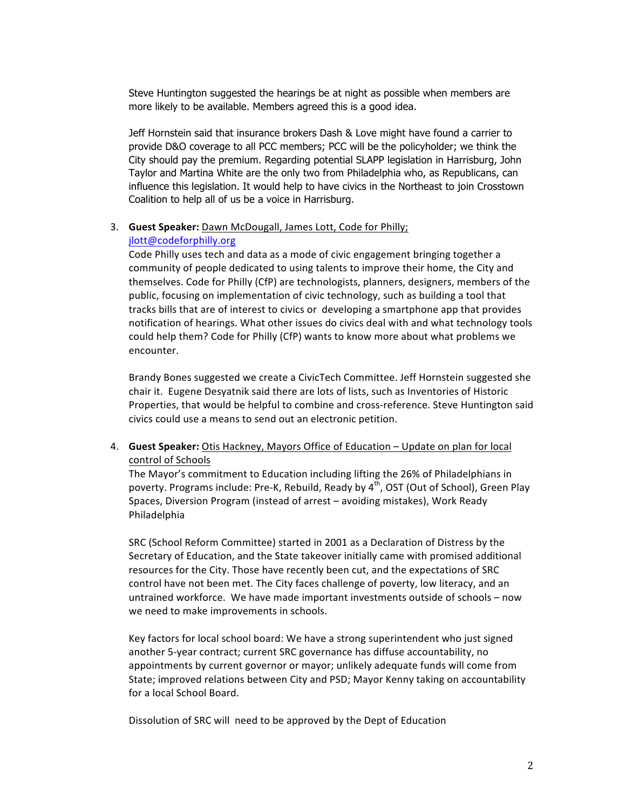Steve Huntington suggested the hearings be at night as possible when members are more likely to be available. Members agreed this is a good idea.

Jeff Hornstein said that insurance brokers Dash & Love might have found a carrier to provide D&O coverage to all PCC members; PCC will be the policyholder; we think the City should pay the premium. Regarding potential SLAPP legislation in Harrisburg, John Taylor and Martina White are the only two from Philadelphia who, as Republicans, can influence this legislation. It would help to have civics in the Northeast to join Crosstown Coalition to help all of us be a voice in Harrisburg.

# 3. Guest Speaker: Dawn McDougall, James Lott, Code for Philly;

## jlott@codeforphilly.org

Code Philly uses tech and data as a mode of civic engagement bringing together a community of people dedicated to using talents to improve their home, the City and themselves. Code for Philly (CfP) are technologists, planners, designers, members of the public, focusing on implementation of civic technology, such as building a tool that tracks bills that are of interest to civics or developing a smartphone app that provides notification of hearings. What other issues do civics deal with and what technology tools could help them? Code for Philly (CfP) wants to know more about what problems we encounter. 

Brandy Bones suggested we create a CivicTech Committee. Jeff Hornstein suggested she chair it. Eugene Desyatnik said there are lots of lists, such as Inventories of Historic Properties, that would be helpful to combine and cross-reference. Steve Huntington said civics could use a means to send out an electronic petition.

## 4. **Guest Speaker:** Otis Hackney, Mayors Office of Education – Update on plan for local control of Schools

The Mayor's commitment to Education including lifting the 26% of Philadelphians in poverty. Programs include: Pre-K, Rebuild, Ready by 4<sup>th</sup>, OST (Out of School), Green Play Spaces, Diversion Program (instead of arrest – avoiding mistakes), Work Ready Philadelphia

SRC (School Reform Committee) started in 2001 as a Declaration of Distress by the Secretary of Education, and the State takeover initially came with promised additional resources for the City. Those have recently been cut, and the expectations of SRC control have not been met. The City faces challenge of poverty, low literacy, and an untrained workforce. We have made important investments outside of schools - now we need to make improvements in schools.

Key factors for local school board: We have a strong superintendent who just signed another 5-year contract; current SRC governance has diffuse accountability, no appointments by current governor or mayor; unlikely adequate funds will come from State; improved relations between City and PSD; Mayor Kenny taking on accountability for a local School Board.

Dissolution of SRC will need to be approved by the Dept of Education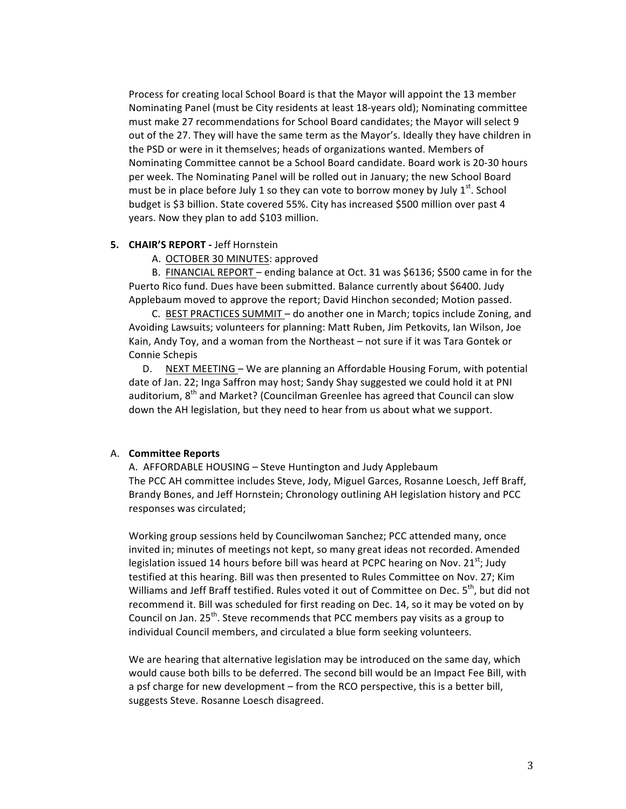Process for creating local School Board is that the Mayor will appoint the 13 member Nominating Panel (must be City residents at least 18-years old); Nominating committee must make 27 recommendations for School Board candidates; the Mayor will select 9 out of the 27. They will have the same term as the Mayor's. Ideally they have children in the PSD or were in it themselves; heads of organizations wanted. Members of Nominating Committee cannot be a School Board candidate. Board work is 20-30 hours per week. The Nominating Panel will be rolled out in January; the new School Board must be in place before July 1 so they can vote to borrow money by July  $1<sup>st</sup>$ . School budget is \$3 billion. State covered 55%. City has increased \$500 million over past 4 years. Now they plan to add \$103 million.

#### **5. CHAIR'S REPORT - Jeff Hornstein**

A. OCTOBER 30 MINUTES: approved

B. FINANCIAL REPORT – ending balance at Oct. 31 was \$6136; \$500 came in for the Puerto Rico fund. Dues have been submitted. Balance currently about \$6400. Judy Applebaum moved to approve the report; David Hinchon seconded; Motion passed.

C. BEST PRACTICES SUMMIT - do another one in March; topics include Zoning, and Avoiding Lawsuits; volunteers for planning: Matt Ruben, Jim Petkovits, Ian Wilson, Joe Kain, Andy Toy, and a woman from the Northeast – not sure if it was Tara Gontek or Connie Schepis

D. NEXT MEETING – We are planning an Affordable Housing Forum, with potential date of Jan. 22; Inga Saffron may host; Sandy Shay suggested we could hold it at PNI auditorium, 8<sup>th</sup> and Market? (Councilman Greenlee has agreed that Council can slow down the AH legislation, but they need to hear from us about what we support.

#### A. **Committee Reports**

A. AFFORDABLE HOUSING - Steve Huntington and Judy Applebaum The PCC AH committee includes Steve, Jody, Miguel Garces, Rosanne Loesch, Jeff Braff, Brandy Bones, and Jeff Hornstein; Chronology outlining AH legislation history and PCC responses was circulated;

Working group sessions held by Councilwoman Sanchez; PCC attended many, once invited in; minutes of meetings not kept, so many great ideas not recorded. Amended legislation issued 14 hours before bill was heard at PCPC hearing on Nov.  $21^{st}$ ; Judy testified at this hearing. Bill was then presented to Rules Committee on Nov. 27; Kim Williams and Jeff Braff testified. Rules voted it out of Committee on Dec.  $5^{th}$ , but did not recommend it. Bill was scheduled for first reading on Dec. 14, so it may be voted on by Council on Jan. 25<sup>th</sup>. Steve recommends that PCC members pay visits as a group to individual Council members, and circulated a blue form seeking volunteers.

We are hearing that alternative legislation may be introduced on the same day, which would cause both bills to be deferred. The second bill would be an Impact Fee Bill, with a psf charge for new development – from the RCO perspective, this is a better bill, suggests Steve. Rosanne Loesch disagreed.